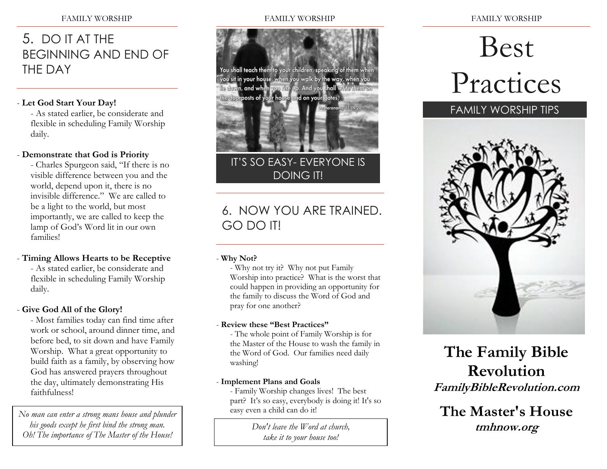# 5. DO IT AT THE BEGINNING AND END OF THE DAY

### - **Let God Start Your Day!**

- As stated earlier, be considerate and flexible in scheduling Family Worship daily.

### - **Demonstrate that God is Priority**

- Charles Spurgeon said, "If there is no visible difference between you and the world, depend upon it, there is no invisible difference." We are called to be a light to the world, but most importantly, we are called to keep the lamp of God's Word lit in our own families!

# - **Timing Allows Hearts to be Receptive**

- As stated earlier, be considerate and flexible in scheduling Family Worship daily.

# - **Give God All of the Glory!**

- Most families today can find time after work or school, around dinner time, and before bed, to sit down and have Family Worship. What a great opportunity to build faith as a family, by observing how God has answered prayers throughout the day, ultimately demonstrating His faithfulness!

*No man can enter a strong mans house and plunder his goods except he first bind the strong man. Oh! The importance of The Master of the House!*

#### FAMILY WORSHIP



IT'S SO EASY- EVERYONE IS DOING IT!

# 6. NOW YOU ARE TRAINED. GO DO IT!

### - **Why Not?**

- Why not try it? Why not put Family Worship into practice? What is the worst that could happen in providing an opportunity for the family to discuss the Word of God and pray for one another?

### - **Review these "Best Practices"**

- The whole point of Family Worship is for the Master of the House to wash the family in the Word of God. Our families need daily washing!

### - **Implement Plans and Goals**

- Family Worship changes lives! The best part? It's so easy, everybody is doing it! It's so easy even a child can do it!

> *Don't leave the Word at church, take it to your house too!*

FAMILY WORSHIP

# Best Practices



# **The Family Bible Revolution FamilyBibleRevolution.com**

**The Master's House tmhnow.org**